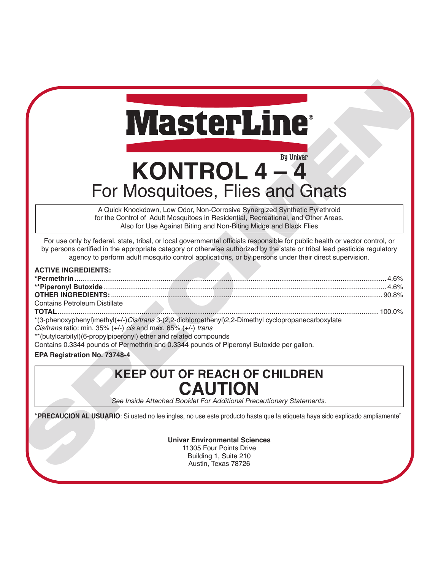# **KONTROL 4 – 4** For Mosquitoes, Flies and Gnats

|                                                                                                                                                 | <b>MasterLine®</b>                                                                                                                                                                                                                                                                                                                                               |
|-------------------------------------------------------------------------------------------------------------------------------------------------|------------------------------------------------------------------------------------------------------------------------------------------------------------------------------------------------------------------------------------------------------------------------------------------------------------------------------------------------------------------|
|                                                                                                                                                 | By Univar<br>KONTROL 4-4                                                                                                                                                                                                                                                                                                                                         |
|                                                                                                                                                 | For Mosquitoes, Flies and Gnats                                                                                                                                                                                                                                                                                                                                  |
|                                                                                                                                                 | A Quick Knockdown, Low Odor, Non-Corrosive Synergized Synthetic Pyrethroid<br>for the Control of Adult Mosquitoes in Residential, Recreational, and Other Areas.<br>Also for Use Against Biting and Non-Biting Midge and Black Flies                                                                                                                             |
|                                                                                                                                                 | For use only by federal, state, tribal, or local governmental officials responsible for public health or vector control, or<br>by persons certified in the appropriate category or otherwise authorized by the state or tribal lead pesticide regulatory<br>agency to perform adult mosquito control applications, or by persons under their direct supervision. |
| <b>ACTIVE INGREDIENTS:</b><br><b>OTHER INGREDIENTS:</b><br><b>Contains Petroleum Distillate</b><br><b>TOTAL</b><br>EPA Registration No. 73748-4 | *(3-phenoxyphenyl)methyl(+/-)Cis/trans 3-(2,2-dichloroethenyl)2,2-Dimethyl cyclopropanecarboxylate<br>Cis/trans ratio: min. 35% (+/-) cis and max. 65% (+/-) trans<br>**(butylcarbityl)(6-propylpiperonyl) ether and related compounds<br>Contains 0.3344 pounds of Permethrin and 0.3344 pounds of Piperonyl Butoxide per gallon.                               |
|                                                                                                                                                 | <b>KEEP OUT OF REACH OF CHILDREN</b><br><b>CAUTION</b><br>See Inside Attached Booklet For Additional Precautionary Statements.                                                                                                                                                                                                                                   |
|                                                                                                                                                 | "PRECAUCION AL USUARIO: Si usted no lee ingles, no use este producto hasta que la etiqueta haya sido explicado ampliamente"                                                                                                                                                                                                                                      |
|                                                                                                                                                 | <b>Univar Environmental Sciences</b><br>11305 Four Points Drive<br>Building 1, Suite 210<br>Austin, Texas 78726                                                                                                                                                                                                                                                  |

## **KEEP OUT OF REACH OF CHILDREN CAUTION**

#### **Univar Environmental Sciences**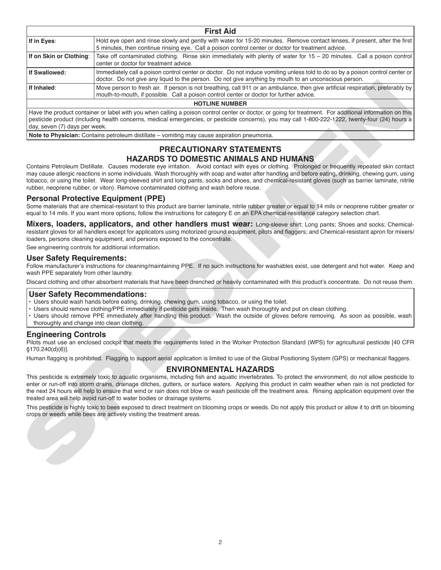| If in Eyes:<br>If on Skin or Clothing:<br>If Swallowed:<br>If Inhaled:            | Hold eye open and rinse slowly and gently with water for 15-20 minutes. Remove contact lenses, if present, after the first<br>5 minutes, then continue rinsing eye. Call a poison control center or doctor for treatment advice.<br>Take off contaminated clothing. Rinse skin immediately with plenty of water for 15 - 20 minutes. Call a poison control<br>center or doctor for treatment advice.<br>Immediately call a poison control center or doctor. Do not induce vomiting unless told to do so by a poison control center or<br>doctor. Do not give any liquid to the person. Do not give anything by mouth to an unconscious person. |
|-----------------------------------------------------------------------------------|------------------------------------------------------------------------------------------------------------------------------------------------------------------------------------------------------------------------------------------------------------------------------------------------------------------------------------------------------------------------------------------------------------------------------------------------------------------------------------------------------------------------------------------------------------------------------------------------------------------------------------------------|
|                                                                                   |                                                                                                                                                                                                                                                                                                                                                                                                                                                                                                                                                                                                                                                |
|                                                                                   |                                                                                                                                                                                                                                                                                                                                                                                                                                                                                                                                                                                                                                                |
|                                                                                   |                                                                                                                                                                                                                                                                                                                                                                                                                                                                                                                                                                                                                                                |
|                                                                                   | Move person to fresh air. If person is not breathing, call 911 or an ambulance, then give artificial respiration, preferably by<br>mouth-to-mouth, if possible. Call a poison control center or doctor for further advice.                                                                                                                                                                                                                                                                                                                                                                                                                     |
|                                                                                   | <b>HOTLINE NUMBER</b>                                                                                                                                                                                                                                                                                                                                                                                                                                                                                                                                                                                                                          |
| day, seven (7) days per week.                                                     | Have the product container or label with you when calling a poison control center or doctor, or going for treatment. For additional information on this<br>pesticide product (including health concerns, medical emergencies, or pesticide concerns), you may call 1-800-222-1222, twenty-four (24) hours a                                                                                                                                                                                                                                                                                                                                    |
|                                                                                   | Note to Physician: Contains petroleum distillate - vomiting may cause aspiration pneumonia.                                                                                                                                                                                                                                                                                                                                                                                                                                                                                                                                                    |
|                                                                                   | PRECAUTIONARY STATEMENTS<br><b>HAZARDS TO DOMESTIC ANIMALS AND HUMANS</b><br>Contains Petroleum Distillate. Causes moderate eye irritation. Avoid contact with eyes or clothing. Prolonged or frequently repeated skin contact<br>may cause allergic reactions in some individuals. Wash thoroughly with soap and water after handling and before eating, drinking, chewing gum, using<br>tobacco, or using the toilet. Wear long-sleeved shirt and long pants, socks and shoes, and chemical-resistant gloves (such as barrier laminate, nitrile<br>rubber, neoprene rubber, or viton). Remove contaminated clothing and wash before reuse.   |
|                                                                                   | <b>Personal Protective Equipment (PPE)</b><br>Some materials that are chemical-resistant to this product are barrier laminate, nitrile rubber greater or equal to 14 mils or neoprene rubber greater or<br>equal to 14 mils. If you want more options, follow the instructions for category E on an EPA chemical-resistance category selection chart.                                                                                                                                                                                                                                                                                          |
|                                                                                   | Mixers, loaders, applicators, and other handlers must wear: Long-sleeve shirt; Long pants; Shoes and socks; Chemical-<br>resistant gloves for all handlers except for applicators using motorized ground equipment, pilots and flaggers; and Chemical-resistant apron for mixers/<br>loaders, persons cleaning equipment, and persons exposed to the concentrate.                                                                                                                                                                                                                                                                              |
|                                                                                   | See engineering controls for additional information.                                                                                                                                                                                                                                                                                                                                                                                                                                                                                                                                                                                           |
| <b>User Safety Requirements:</b><br>wash PPE separately from other laundry.       | Follow manufacturer's instructions for cleaning/maintaining PPE. If no such instructions for washables exist, use detergent and hot water. Keep and                                                                                                                                                                                                                                                                                                                                                                                                                                                                                            |
|                                                                                   | Discard clothing and other absorbent materials that have been drenched or heavily contaminated with this product's concentrate. Do not reuse them.                                                                                                                                                                                                                                                                                                                                                                                                                                                                                             |
| <b>User Safety Recommendations:</b><br>thoroughly and change into clean clothing. | · Users should wash hands before eating, drinking, chewing gum, using tobacco, or using the toilet.<br>· Users should remove clothing/PPE immediately if pesticide gets inside. Then wash thoroughly and put on clean clothing.<br>· Users should remove PPE immediately after handling this product. Wash the outside of gloves before removing. As soon as possible, wash                                                                                                                                                                                                                                                                    |
| <b>Engineering Controls</b><br>§170.240(d)(6)].                                   | Pilots must use an enclosed cockpit that meets the requirements listed in the Worker Protection Standard (WPS) for agricultural pesticide [40 CFR                                                                                                                                                                                                                                                                                                                                                                                                                                                                                              |
|                                                                                   | Human flagging is prohibited. Flagging to support aerial application is limited to use of the Global Positioning System (GPS) or mechanical flaggers.                                                                                                                                                                                                                                                                                                                                                                                                                                                                                          |
|                                                                                   | <b>ENVIRONMENTAL HAZARDS</b><br>This pesticide is extremely toxic to aquatic organisms, including fish and aquatic invertebrates. To protect the environment, do not allow pesticide to<br>enter or run-off into storm drains, drainage ditches, gutters, or surface waters. Applying this product in calm weather when rain is not predicted for<br>the next 24 hours will help to ensure that wind or rain does not blow or wash pesticide off the treatment area. Rinsing application equipment over the<br>treated area will help avoid run-off to water bodies or drainage systems.                                                       |
|                                                                                   | This pesticide is highly toxic to bees exposed to direct treatment on blooming crops or weeds. Do not apply this product or allow it to drift on blooming<br>crops or weeds while bees are actively visiting the treatment areas.                                                                                                                                                                                                                                                                                                                                                                                                              |

#### **PRECAUTIONARY STATEMENTS HAZARDS TO DOMESTIC ANIMALS AND HUMANS**

#### **Personal Protective Equipment (PPE)**

#### **User Safety Requirements:**

#### **User Safety Recommendations:**

- Users should wash hands before eating, drinking, chewing gum, using tobacco, or using the toilet.
- Users should remove clothing/PPE immediately if pesticide gets inside. Then wash thoroughly and put on clean clothing.
- Users should remove PPE immediately after handling this product. Wash the outside of gloves before removing. As soon as possible, wash thoroughly and change into clean clothing.

#### **Engineering Controls**

#### **ENVIRONMENTAL HAZARDS**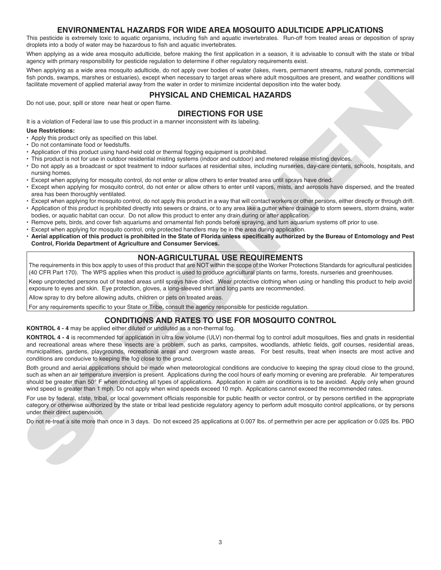#### **ENVIRONMENTAL HAZARDS FOR WIDE AREA MOSQUITO ADULTICIDE APPLICATIONS**

This pesticide is extremely toxic to aquatic organisms, including fish and aquatic invertebrates. Run-off from treated areas or deposition of spray droplets into a body of water may be hazardous to fish and aquatic invertebrates.

When applying as a wide area mosquito adulticide, before making the first application in a season, it is advisable to consult with the state or tribal agency with primary responsibility for pesticide regulation to determine if other regulatory requirements exist.

When applying as a wide area mosquito adulticide, do not apply over bodies of water (lakes, rivers, permanent streams, natural ponds, commercial fish ponds, swamps, marshes or estuaries), except when necessary to target areas where adult mosquitoes are present, and weather conditions will facilitate movement of applied material away from the water in order to minimize incidental deposition into the water body.

#### **PHYSICAL AND CHEMICAL HAZARDS**

Do not use, pour, spill or store near heat or open flame.

#### **DIRECTIONS FOR USE**

It is a violation of Federal law to use this product in a manner inconsistent with its labeling.

#### **Use Restrictions:**

- Apply this product only as specified on this label.
- Do not contaminate food or feedstuffs.
- Application of this product using hand-held cold or thermal fogging equipment is prohibited.
- This product is not for use in outdoor residential misting systems (indoor and outdoor) and metered release misting devices.
- Do not apply as a broadcast or spot treatment to indoor surfaces at residential sites, including nurseries, day-care centers, schools, hospitals, and nursing homes.
- Except when applying for mosquito control, do not enter or allow others to enter treated area until sprays have dried.
- Except when applying for mosquito control, do not enter or allow others to enter until vapors, mists, and aerosols have dispersed, and the treated area has been thoroughly ventilated.
- Except when applying for mosquito control, do not apply this product in a way that will contact workers or other persons, either directly or through drift.
- Application of this product is prohibited directly into sewers or drains, or to any area like a gutter where drainage to storm sewers, storm drains, water bodies, or aquatic habitat can occur. Do not allow this product to enter any drain during or after application.
- Remove pets, birds, and cover fish aquariums and ornamental fish ponds before spraying, and turn aquarium systems off prior to use.
- Except when applying for mosquito control, only protected handlers may be in the area during application.
- . Aerial application of this product is prohibited in the State of Florida unless specifically authorized by the Bureau of Entomology and Pest **Control, Florida Department of Agriculture and Consumer Services.**

#### **NON-AGRICULTURAL USE REQUIREMENTS**

The requirements in this box apply to uses of this product that are NOT within the scope of the Worker Protections Standards for agricultural pesticides (40 CFR Part 170). The WPS applies when this product is used to produce agricultural plants on farms, forests, nurseries and greenhouses.

Keep unprotected persons out of treated areas until sprays have dried. Wear protective clothing when using or handling this product to help avoid exposure to eyes and skin. Eye protection, gloves, a long-sleeved shirt and long pants are recommended.

Allow spray to dry before allowing adults, children or pets on treated areas.

For any requirements specific to your State or Tribe, consult the agency responsible for pesticide regulation.

#### **CONDITIONS AND RATES TO USE FOR MOSQUITO CONTROL**

#### **KONTROL 4 - 4** may be applied either diluted or undiluted as a non-thermal fog.

toeline more of or applie material anyion Francisco Controlled Distribution (1992) and the state internet material and the state internet material and the state internet material and the state internet material and the sta **KONTROL 4 - 4** is recommended for application in ultra low volume (ULV) non-thermal fog to control adult mosquitoes, flies and gnats in residential and recreational areas where these insects are a problem, such as parks, campsites, woodlands, athletic fields, golf courses, residential areas, municipalities, gardens, playgrounds, recreational areas and overgrown waste areas. For best results, treat when insects are most active and conditions are conducive to keeping the fog close to the ground.

Both ground and aerial applications should be made when meteorological conditions are conducive to keeping the spray cloud close to the ground, such as when an air temperature inversion is present. Applications during the cool hours of early morning or evening are preferable. Air temperatures should be greater than 50° F when conducting all types of applications. Application in calm air conditions is to be avoided. Apply only when ground wind speed is greater than 1 mph. Do not apply when wind speeds exceed 10 mph. Applications cannot exceed the recommended rates.

For use by federal, state, tribal, or local government officials responsible for public health or vector control, or by persons certified in the appropriate category or otherwise authorized by the state or tribal lead pesticide regulatory agency to perform adult mosquito control applications, or by persons under their direct supervision.

Do not re-treat a site more than once in 3 days. Do not exceed 25 applications at 0.007 lbs. of permethrin per acre per application or 0.025 lbs. PBO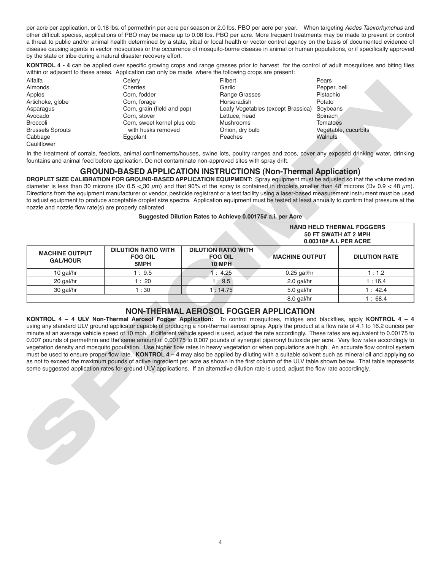per acre per application, or 0.18 lbs. of permethrin per acre per season or 2.0 lbs. PBO per acre per year. When targeting *Aedes Taeirorhynchus* and other difficult species, applications of PBO may be made up to 0.08 lbs. PBO per acre. More frequent treatments may be made to prevent or control a threat to public and/or animal health determined by a state, tribal or local health or vector control agency on the basis of documented evidence of disease causing agents in vector mosquitoes or the occurrence of mosquito-borne disease in animal or human populations, or if specifically approved by the state or tribe during a natural disaster recovery effort.

**KONTROL 4 - 4** can be applied over specific growing crops and range grasses prior to harvest for the control of adult mosquitoes and biting flies within or adjacent to these areas. Application can only be made where the following crops are present:

#### **GROUND-BASED APPLICATION INSTRUCTIONS (Non-Thermal Application)**

#### **Suggested Dilution Rates to Achieve 0.00175# a.i. per Acre**

| Alfalfa<br>Almonds<br>Apples<br>Artichoke, globe<br>Asparagus<br>Avocado<br><b>Broccoli</b><br><b>Brussels Sprouts</b><br>Cabbage<br>Cauliflower | Celery<br><b>Filbert</b><br>Garlic<br>Cherries<br>Corn, fodder<br>Range Grasses<br>Corn, forage<br>Horseradish<br>Corn, grain (field and pop)<br>Leafy Vegetables (except Brassica)<br>Corn, stover<br>Lettuce, head<br>Corn, sweet kernel plus cob<br><b>Mushrooms</b><br>with husks removed<br>Onion, dry bulb<br>Eggplant<br>Peaches |                                                               |                                                                                    | Pears<br>Pepper, bell<br>Pistachio<br>Potato<br>Soybeans<br>Spinach<br><b>Tomatoes</b><br>Vegetable, cucurbits<br>Walnuts                                                                                                                                                                                                                                                                                                                                                                                                                                                                                                                                                                                                                                    |  |
|--------------------------------------------------------------------------------------------------------------------------------------------------|-----------------------------------------------------------------------------------------------------------------------------------------------------------------------------------------------------------------------------------------------------------------------------------------------------------------------------------------|---------------------------------------------------------------|------------------------------------------------------------------------------------|--------------------------------------------------------------------------------------------------------------------------------------------------------------------------------------------------------------------------------------------------------------------------------------------------------------------------------------------------------------------------------------------------------------------------------------------------------------------------------------------------------------------------------------------------------------------------------------------------------------------------------------------------------------------------------------------------------------------------------------------------------------|--|
|                                                                                                                                                  | fountains and animal feed before application. Do not contaminate non-approved sites with spray drift.                                                                                                                                                                                                                                   |                                                               |                                                                                    | In the treatment of corrals, feedlots, animal confinements/houses, swine lots, poultry ranges and zoos, cover any exposed drinking water, drinking                                                                                                                                                                                                                                                                                                                                                                                                                                                                                                                                                                                                           |  |
| nozzle and nozzle flow rate(s) are properly calibrated.                                                                                          | <b>GROUND-BASED APPLICATION INSTRUCTIONS (Non-Thermal Application)</b>                                                                                                                                                                                                                                                                  | Suggested Dilution Rates to Achieve 0.00175# a.i. per Acre    |                                                                                    | DROPLET SIZE CALIBRATION FOR GROUND-BASED APPLICATION EQUIPMENT: Spray equipment must be adjusted so that the volume median<br>diameter is less than 30 microns (Dv 0.5 < 30 $\mu$ m) and that 90% of the spray is contained in droplets smaller than 48 microns (Dv 0.9 < 48 $\mu$ m).<br>Directions from the equipment manufacturer or vendor, pesticide registrant or a test facility using a laser-based measurement instrument must be used<br>to adjust equipment to produce acceptable droplet size spectra. Application equipment must be tested at least annually to confirm that pressure at the                                                                                                                                                   |  |
|                                                                                                                                                  |                                                                                                                                                                                                                                                                                                                                         |                                                               | <b>HAND HELD THERMAL FOGGERS</b><br>50 FT SWATH AT 2 MPH<br>0.00318# A.I. PER ACRE |                                                                                                                                                                                                                                                                                                                                                                                                                                                                                                                                                                                                                                                                                                                                                              |  |
| <b>MACHINE OUTPUT</b><br><b>GAL/HOUR</b>                                                                                                         | <b>DILUTION RATIO WITH</b><br><b>FOG OIL</b><br>5MPH                                                                                                                                                                                                                                                                                    | <b>DILUTION RATIO WITH</b><br><b>FOG OIL</b><br><b>10 MPH</b> | <b>MACHINE OUTPUT</b>                                                              | <b>DILUTION RATE</b>                                                                                                                                                                                                                                                                                                                                                                                                                                                                                                                                                                                                                                                                                                                                         |  |
| 10 gal/hr                                                                                                                                        | 1:9.5                                                                                                                                                                                                                                                                                                                                   | 1:4.25                                                        | $0.25$ gal/hr                                                                      | 1:1.2                                                                                                                                                                                                                                                                                                                                                                                                                                                                                                                                                                                                                                                                                                                                                        |  |
| 20 gal/hr                                                                                                                                        | 1:20                                                                                                                                                                                                                                                                                                                                    | 1:9.5                                                         | 2.0 gal/hr                                                                         | 1:16.4                                                                                                                                                                                                                                                                                                                                                                                                                                                                                                                                                                                                                                                                                                                                                       |  |
| 30 gal/hr                                                                                                                                        | 1:30                                                                                                                                                                                                                                                                                                                                    | 1:14.75                                                       | 5.0 gal/hr                                                                         | 1:42.4                                                                                                                                                                                                                                                                                                                                                                                                                                                                                                                                                                                                                                                                                                                                                       |  |
|                                                                                                                                                  |                                                                                                                                                                                                                                                                                                                                         |                                                               | 8.0 gal/hr                                                                         | 1:68.4                                                                                                                                                                                                                                                                                                                                                                                                                                                                                                                                                                                                                                                                                                                                                       |  |
|                                                                                                                                                  | must be used to ensure proper flow rate. KONTROL 4 - 4 may also be applied by diluting with a suitable solvent such as mineral oil and applying so                                                                                                                                                                                      | <b>NON-THERMAL AEROSOL FOGGER APPLICATION</b>                 |                                                                                    | KONTROL 4 - 4 ULV Non-Thermal Aerosol Fogger Application: To control mosquitoes, midges and blackflies, apply KONTROL 4 - 4<br>using any standard ULV ground applicator capable of producing a non-thermal aerosol spray. Apply the product at a flow rate of 4.1 to 16.2 ounces per<br>minute at an average vehicle speed of 10 mph. If different vehicle speed is used, adjust the rate accordingly. These rates are equivalent to 0.00175 to<br>0.007 pounds of permethrin and the same amount of 0.00175 to 0.007 pounds of synergist piperonyl butoxide per acre. Vary flow rates accordingly to<br>vegetation density and mosquito population. Use higher flow rates in heavy vegetation or when populations are high. An accurate flow control system |  |
|                                                                                                                                                  | some suggested application rates for ground ULV applications. If an alternative dilution rate is used, adjust the flow rate accordingly.                                                                                                                                                                                                |                                                               |                                                                                    | as not to exceed the maximum pounds of active ingredient per acre as shown in the first column of the ULV table shown below. That table represents                                                                                                                                                                                                                                                                                                                                                                                                                                                                                                                                                                                                           |  |

#### **NON-THERMAL AEROSOL FOGGER APPLICATION**

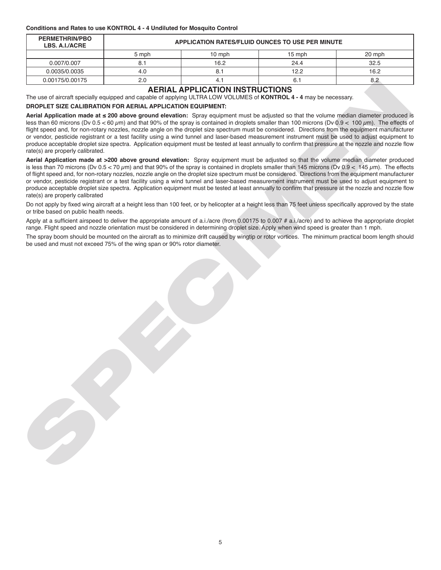#### **Conditions and Rates to use KONTROL 4 - 4 Undiluted for Mosquito Control**

| <b>PERMETHRIN/PBO</b><br>LBS. A.I./ACRE | <b>APPLICATION RATES/FLUID OUNCES TO USE PER MINUTE</b> |        |                  |        |
|-----------------------------------------|---------------------------------------------------------|--------|------------------|--------|
|                                         | 5 mph                                                   | 10 mph | $15 \text{ mph}$ | 20 mph |
| 0.007/0.007                             |                                                         | 16.2   | 24.4             | 32.5   |
| 0.0035/0.0035                           | 4.0                                                     |        | 12.2             | 16.2   |
| 0.00175/0.00175                         | 2.0                                                     |        | 6.1              | 8.2    |

#### **AERIAL APPLICATION INSTRUCTIONS**

The use of aircraft specially equipped and capable of applying ULTRA LOW VOLUMES of **KONTROL 4 - 4** may be necessary.

#### **DROPLET SIZE CALIBRATION FOR AERIAL APPLICATION EQUIPMENT:**

**Aerial Application made at ≤ 200 above ground elevation:** Spray equipment must be adjusted so that the volume median diameter produced is less than 60 microns (Dv 0.5 < 60  $\mu$ m) and that 90% of the spray is contained in droplets smaller than 100 microns (Dv 0.9 < 100  $\mu$ m). The effects of flight speed and, for non-rotary nozzles, nozzle angle on the droplet size spectrum must be considered. Directions from the equipment manufacturer or vendor, pesticide registrant or a test facility using a wind tunnel and laser-based measurement instrument must be used to adjust equipment to produce acceptable droplet size spectra. Application equipment must be tested at least annually to confirm that pressure at the nozzle and nozzle flow rate(s) are properly calibrated.

CONTROLLES<br>
The use of signal consider explored and consider a PLACIA DPD LCCC/TAN INSERTAION COLUMN 4.4 These to modes as<br>
The use of signal consider explored and consider explored into CONTROL INSERTATION CONTROL 4.4 The **Aerial Application made at >200 above ground elevation:** Spray equipment must be adjusted so that the volume median diameter produced is less than 70 microns (Dv  $0.5 < 70 \mu m$ ) and that 90% of the spray is contained in droplets smaller than 145 microns (Dv  $0.9 < 145 \mu m$ ). The effects of flight speed and, for non-rotary nozzles, nozzle angle on the droplet size spectrum must be considered. Directions from the equipment manufacturer or vendor, pesticide registrant or a test facility using a wind tunnel and laser-based measurement instrument must be used to adjust equipment to produce acceptable droplet size spectra. Application equipment must be tested at least annually to confirm that pressure at the nozzle and nozzle flow rate(s) are properly calibrated

Do not apply by fixed wing aircraft at a height less than 100 feet, or by helicopter at a height less than 75 feet unless specifically approved by the state or tribe based on public health needs.

Apply at a sufficient airspeed to deliver the appropriate amount of a.i./acre (from 0.00175 to 0.007 # a.i./acre) and to achieve the appropriate droplet range. Flight speed and nozzle orientation must be considered in determining droplet size. Apply when wind speed is greater than 1 mph.

The spray boom should be mounted on the aircraft as to minimize drift caused by wingtip or rotor vortices. The minimum practical boom length should be used and must not exceed 75% of the wing span or 90% rotor diameter.